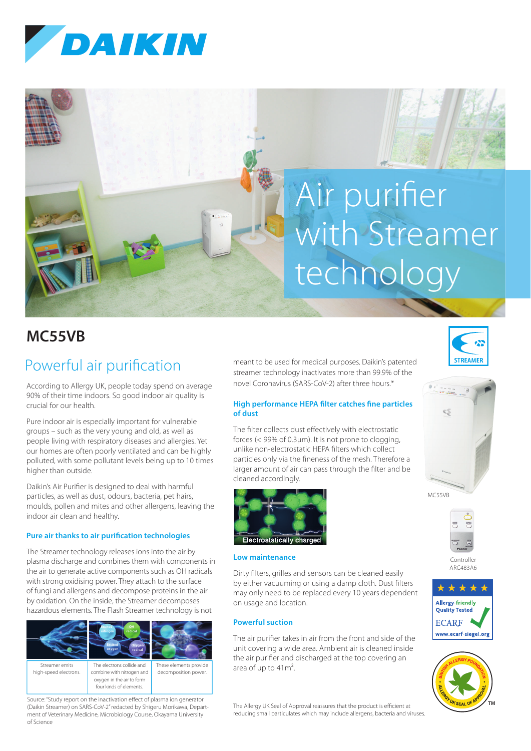

# Air purifier with Streamer technology

## **MC55VB**

## Powerful air purification

According to Allergy UK, people today spend on average 90% of their time indoors. So good indoor air quality is crucial for our health.

Pure indoor air is especially important for vulnerable groups – such as the very young and old, as well as people living with respiratory diseases and allergies. Yet our homes are often poorly ventilated and can be highly polluted, with some pollutant levels being up to 10 times higher than outside.

Daikin's Air Purifier is designed to deal with harmful particles, as well as dust, odours, bacteria, pet hairs, moulds, pollen and mites and other allergens, leaving the indoor air clean and healthy.

#### **Pure air thanks to air purification technologies**

The Streamer technology releases ions into the air by plasma discharge and combines them with components in the air to generate active components such as OH radicals with strong oxidising power. They attach to the surface of fungi and allergens and decompose proteins in the air by oxidation. On the inside, the Streamer decomposes hazardous elements. The Flash Streamer technology is not



Source: "Study report on the inactivation effect of plasma ion generator (Daikin Streamer) on SARS-CoV-2" redacted by Shigeru Morikawa, Department of Veterinary Medicine, Microbiology Course, Okayama University of Science

meant to be used for medical purposes. Daikin's patented streamer technology inactivates more than 99.9% of the novel Coronavirus (SARS-CoV-2) after three hours.\*

#### **High performance HEPA filter catches fine particles of dust**

The filter collects dust effectively with electrostatic forces (< 99% of 0.3μm). It is not prone to clogging, unlike non-electrostatic HEPA filters which collect particles only via the fineness of the mesh. Therefore a larger amount of air can pass through the filter and be cleaned accordingly.



#### **Low maintenance**

Dirty filters, grilles and sensors can be cleaned easily by either vacuuming or using a damp cloth. Dust filters may only need to be replaced every 10 years dependent on usage and location.

#### **Powerful suction**

The air purifier takes in air from the front and side of the unit covering a wide area. Ambient air is cleaned inside the air purifier and discharged at the top covering an area of up to 41m².

The Allergy UK Seal of Approval reassures that the product is efficient at reducing small particulates which may include allergens, bacteria and viruses.







Controller ARC483A6